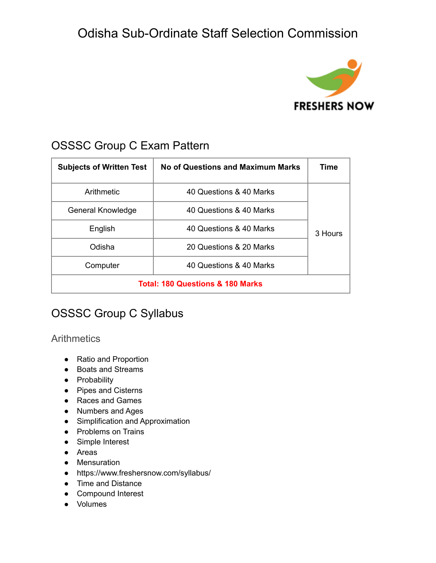

### OSSSC Group C Exam Pattern

| <b>Subjects of Written Test</b>             | <b>No of Questions and Maximum Marks</b> | Time    |
|---------------------------------------------|------------------------------------------|---------|
| Arithmetic                                  | 40 Questions & 40 Marks                  | 3 Hours |
| General Knowledge                           | 40 Questions & 40 Marks                  |         |
| English                                     | 40 Questions & 40 Marks                  |         |
| Odisha                                      | 20 Questions & 20 Marks                  |         |
| Computer                                    | 40 Questions & 40 Marks                  |         |
| <b>Total: 180 Questions &amp; 180 Marks</b> |                                          |         |

## OSSSC Group C Syllabus

#### **Arithmetics**

- Ratio and Proportion
- Boats and Streams
- **•** Probability
- Pipes and Cisterns
- Races and Games
- Numbers and Ages
- Simplification and Approximation
- Problems on Trains
- Simple Interest
- Areas
- Mensuration
- https://www.freshersnow.com/syllabus/
- Time and Distance
- Compound Interest
- Volumes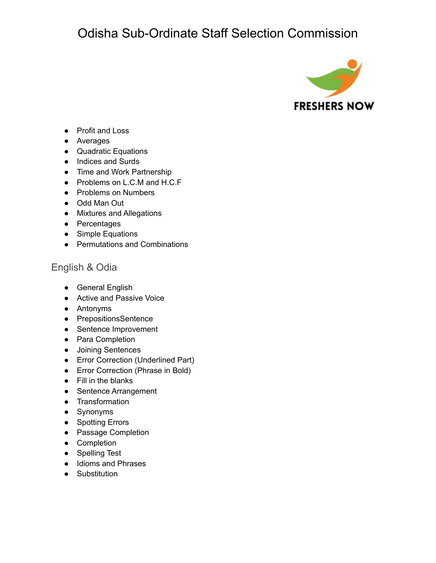

- Profit and Loss
- Averages
- Quadratic Equations
- Indices and Surds
- Time and Work Partnership
- Problems on L.C.M and H.C.F
- Problems on Numbers
- Odd Man Out
- Mixtures and Allegations
- Percentages
- Simple Equations
- Permutations and Combinations

#### English & Odia

- General English
- Active and Passive Voice
- Antonyms
- PrepositionsSentence
- Sentence Improvement
- Para Completion
- Joining Sentences
- Error Correction (Underlined Part)
- Error Correction (Phrase in Bold)
- Fill in the blanks
- Sentence Arrangement
- Transformation
- Synonyms
- Spotting Errors
- Passage Completion
- Completion
- Spelling Test
- Idioms and Phrases
- Substitution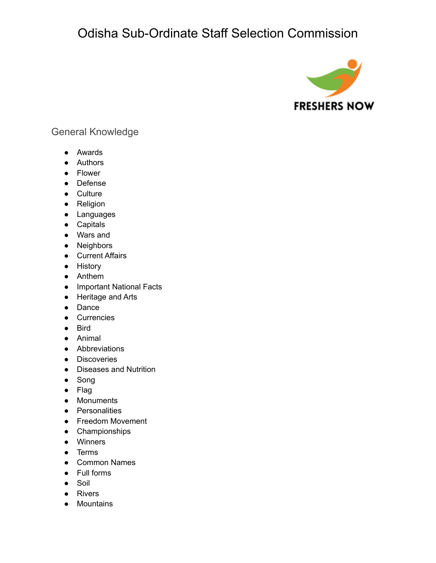

#### General Knowledge

- Awards
- Authors
- Flower
- Defense
- Culture
- Religion
- Languages
- Capitals
- Wars and
- Neighbors
- Current Affairs
- History
- Anthem
- Important National Facts
- Heritage and Arts
- Dance
- Currencies
- Bird
- Animal
- Abbreviations
- Discoveries
- Diseases and Nutrition
- Song
- Flag
- Monuments
- Personalities
- Freedom Movement
- Championships
- Winners
- Terms
- Common Names
- Full forms
- Soil
- Rivers
- Mountains